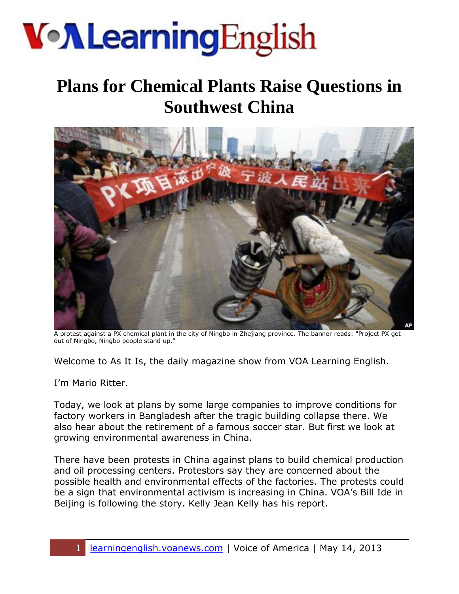# **Von Learning English**

### **Plans for Chemical Plants Raise Questions in Southwest China**



A protest against a PX chemical plant in the city of Ningbo in Zhejiang province. The banner reads: "Project PX get out of Ningbo, Ningbo people stand up."

Welcome to As It Is, the daily magazine show from VOA Learning English.

I'm Mario Ritter.

Today, we look at plans by some large companies to improve conditions for factory workers in Bangladesh after the tragic building collapse there. We also hear about the retirement of a famous soccer star. But first we look at growing environmental awareness in China.

There have been protests in China against plans to build chemical production and oil processing centers. Protestors say they are concerned about the possible health and environmental effects of the factories. The protests could be a sign that environmental activism is increasing in China. VOA's Bill Ide in Beijing is following the story. Kelly Jean Kelly has his report.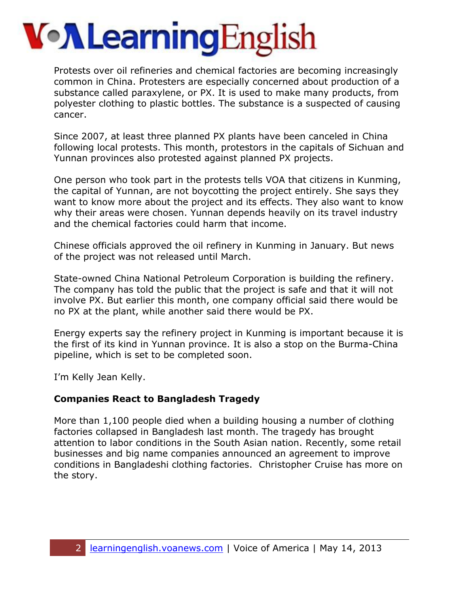# **Von Learning English**

Protests over oil refineries and chemical factories are becoming increasingly common in China. Protesters are especially concerned about production of a substance called paraxylene, or PX. It is used to make many products, from polyester clothing to plastic bottles. The substance is a suspected of causing cancer.

Since 2007, at least three planned PX plants have been canceled in China following local protests. This month, protestors in the capitals of Sichuan and Yunnan provinces also protested against planned PX projects.

One person who took part in the protests tells VOA that citizens in Kunming, the capital of Yunnan, are not boycotting the project entirely. She says they want to know more about the project and its effects. They also want to know why their areas were chosen. Yunnan depends heavily on its travel industry and the chemical factories could harm that income.

Chinese officials approved the oil refinery in Kunming in January. But news of the project was not released until March.

State-owned China National Petroleum Corporation is building the refinery. The company has told the public that the project is safe and that it will not involve PX. But earlier this month, one company official said there would be no PX at the plant, while another said there would be PX.

Energy experts say the refinery project in Kunming is important because it is the first of its kind in Yunnan province. It is also a stop on the Burma-China pipeline, which is set to be completed soon.

I'm Kelly Jean Kelly.

#### **Companies React to Bangladesh Tragedy**

More than 1,100 people died when a building housing a number of clothing factories collapsed in Bangladesh last month. The tragedy has brought attention to labor conditions in the South Asian nation. Recently, some retail businesses and big name companies announced an agreement to improve conditions in Bangladeshi clothing factories. Christopher Cruise has more on the story.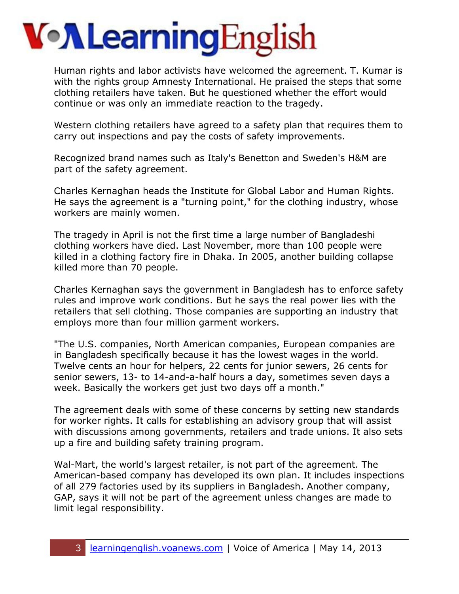# **Von Learning English**

Human rights and labor activists have welcomed the agreement. T. Kumar is with the rights group Amnesty International. He praised the steps that some clothing retailers have taken. But he questioned whether the effort would continue or was only an immediate reaction to the tragedy.

Western clothing retailers have agreed to a safety plan that requires them to carry out inspections and pay the costs of safety improvements.

Recognized brand names such as Italy's Benetton and Sweden's H&M are part of the safety agreement.

Charles Kernaghan heads the Institute for Global Labor and Human Rights. He says the agreement is a "turning point," for the clothing industry, whose workers are mainly women.

The tragedy in April is not the first time a large number of Bangladeshi clothing workers have died. Last November, more than 100 people were killed in a clothing factory fire in Dhaka. In 2005, another building collapse killed more than 70 people.

Charles Kernaghan says the government in Bangladesh has to enforce safety rules and improve work conditions. But he says the real power lies with the retailers that sell clothing. Those companies are supporting an industry that employs more than four million garment workers.

"The U.S. companies, North American companies, European companies are in Bangladesh specifically because it has the lowest wages in the world. Twelve cents an hour for helpers, 22 cents for junior sewers, 26 cents for senior sewers, 13- to 14-and-a-half hours a day, sometimes seven days a week. Basically the workers get just two days off a month."

The agreement deals with some of these concerns by setting new standards for worker rights. It calls for establishing an advisory group that will assist with discussions among governments, retailers and trade unions. It also sets up a fire and building safety training program.

Wal-Mart, the world's largest retailer, is not part of the agreement. The American-based company has developed its own plan. It includes inspections of all 279 factories used by its suppliers in Bangladesh. Another company, GAP, says it will not be part of the agreement unless changes are made to limit legal responsibility.